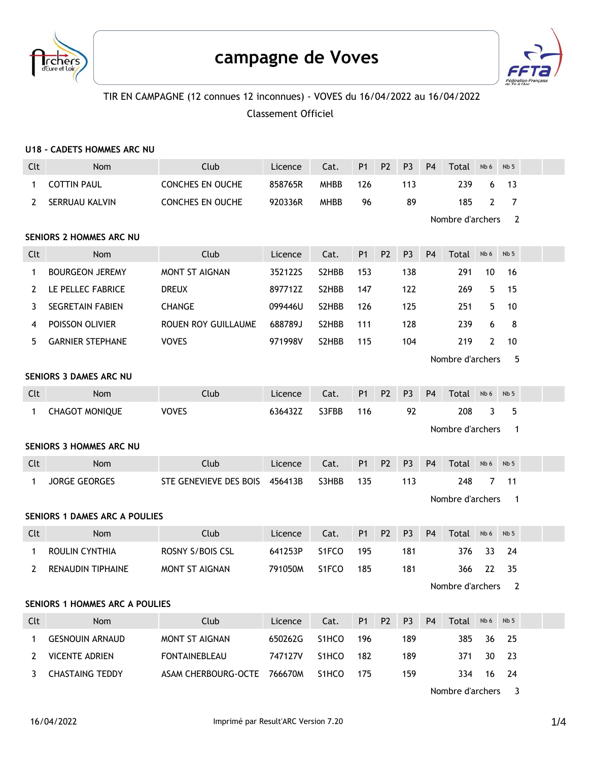



## TIR EN CAMPAGNE (12 connues 12 inconnues) - VOVES du 16/04/2022 au 16/04/2022 Classement Officiel

|                                       | U18 - CADETS HOMMES ARC NU           |                         |         |                    |                |                |                |                                 |                  |                |                 |  |
|---------------------------------------|--------------------------------------|-------------------------|---------|--------------------|----------------|----------------|----------------|---------------------------------|------------------|----------------|-----------------|--|
| Clt                                   | <b>Nom</b>                           | Club                    | Licence | Cat.               | P <sub>1</sub> | P <sub>2</sub> | P <sub>3</sub> | P <sub>4</sub>                  | Total            | Nb 6           | Nb <sub>5</sub> |  |
| 1                                     | <b>COTTIN PAUL</b>                   | <b>CONCHES EN OUCHE</b> | 858765R | <b>MHBB</b>        | 126            |                | 113            |                                 | 239              | 6              | 13              |  |
| 2                                     | SERRUAU KALVIN                       | <b>CONCHES EN OUCHE</b> | 920336R | <b>MHBB</b>        | 96             |                | 89             |                                 | 185              | $\overline{2}$ | $\overline{7}$  |  |
|                                       |                                      |                         |         |                    |                |                |                |                                 | Nombre d'archers |                | 2               |  |
| SENIORS 2 HOMMES ARC NU               |                                      |                         |         |                    |                |                |                |                                 |                  |                |                 |  |
| Clt                                   | <b>Nom</b>                           | Club                    | Licence | Cat.               | <b>P1</b>      | P <sub>2</sub> | P <sub>3</sub> | P <sub>4</sub>                  | Total            | Nb 6           | Nb <sub>5</sub> |  |
| 1                                     | <b>BOURGEON JEREMY</b>               | <b>MONT ST AIGNAN</b>   | 352122S | S <sub>2</sub> HBB | 153            |                | 138            |                                 | 291              | 10             | 16              |  |
| 2                                     | LE PELLEC FABRICE                    | <b>DREUX</b>            | 897712Z | S2HBB              | 147            |                | 122            |                                 | 269              | 5              | 15              |  |
| 3                                     | SEGRETAIN FABIEN                     | <b>CHANGE</b>           | 099446U | S2HBB              | 126            |                | 125            |                                 | 251              | 5              | 10              |  |
| 4                                     | POISSON OLIVIER                      | ROUEN ROY GUILLAUME     | 688789J | S2HBB              | 111            |                | 128            |                                 | 239              | 6              | 8               |  |
| 5.                                    | <b>GARNIER STEPHANE</b>              | <b>VOVES</b>            | 971998V | S2HBB              | 115            |                | 104            |                                 | 219              | $\mathbf{2}$   | 10              |  |
|                                       |                                      |                         |         |                    |                |                |                |                                 | Nombre d'archers |                | 5               |  |
| <b>SENIORS 3 DAMES ARC NU</b>         |                                      |                         |         |                    |                |                |                |                                 |                  |                |                 |  |
| Clt                                   | <b>Nom</b>                           | Club                    | Licence | Cat.               | <b>P1</b>      | P <sub>2</sub> | P <sub>3</sub> | <b>P4</b>                       | Total            | Nb 6           | Nb <sub>5</sub> |  |
| 1                                     | <b>CHAGOT MONIQUE</b>                | <b>VOVES</b>            | 636432Z | S3FBB              | 116            |                | 92             |                                 | 208              | 3              | 5               |  |
|                                       |                                      |                         |         |                    |                |                |                |                                 | Nombre d'archers |                | 1               |  |
| <b>SENIORS 3 HOMMES ARC NU</b>        |                                      |                         |         |                    |                |                |                |                                 |                  |                |                 |  |
| Clt                                   | Nom                                  | Club                    | Licence | Cat.               | P <sub>1</sub> | P <sub>2</sub> | P <sub>3</sub> | P <sub>4</sub>                  | Total            | Nb 6           | Nb <sub>5</sub> |  |
| 1                                     | <b>JORGE GEORGES</b>                 | STE GENEVIEVE DES BOIS  | 456413B | S3HBB              | 135            |                | 113            |                                 | 248              | 7              | 11              |  |
|                                       |                                      |                         |         |                    |                |                |                | Nombre d'archers<br>$\mathbf 1$ |                  |                |                 |  |
|                                       | <b>SENIORS 1 DAMES ARC A POULIES</b> |                         |         |                    |                |                |                |                                 |                  |                |                 |  |
| Clt                                   | <b>Nom</b>                           | Club                    | Licence | Cat.               | P <sub>1</sub> | P <sub>2</sub> | P <sub>3</sub> | P <sub>4</sub>                  | Total            | Nb 6           | Nb <sub>5</sub> |  |
| 1                                     | ROULIN CYNTHIA                       | <b>ROSNY S/BOIS CSL</b> | 641253P | S <sub>1</sub> FCO | 195            |                | 181            |                                 | 376              | 33             | 24              |  |
| 2                                     | <b>RENAUDIN TIPHAINE</b>             | <b>MONT ST AIGNAN</b>   | 791050M | S <sub>1</sub> FCO | 185            |                | 181            |                                 | 366              | 22             | 35              |  |
|                                       |                                      |                         |         |                    |                |                |                |                                 | Nombre d'archers |                | $\overline{2}$  |  |
| <b>SENIORS 1 HOMMES ARC A POULIES</b> |                                      |                         |         |                    |                |                |                |                                 |                  |                |                 |  |
| Clt                                   | Nom                                  | Club                    | Licence | Cat.               | P <sub>1</sub> | P <sub>2</sub> | P <sub>3</sub> | P <sub>4</sub>                  | Total            | Nb 6           | Nb <sub>5</sub> |  |
| $\mathbf{1}$                          | <b>GESNOUIN ARNAUD</b>               | MONT ST AIGNAN          | 650262G | S1HCO              | 196            |                | 189            |                                 | 385              | 36             | 25              |  |
| 2                                     | <b>VICENTE ADRIEN</b>                | <b>FONTAINEBLEAU</b>    | 747127V | S1HCO              | 182            |                | 189            |                                 | 371              | 30             | 23              |  |
| 3                                     | <b>CHASTAING TEDDY</b>               | ASAM CHERBOURG-OCTE     | 766670M | S1HCO              | 175            |                | 159            |                                 | 334              | 16             | 24              |  |

Nombre d'archers 3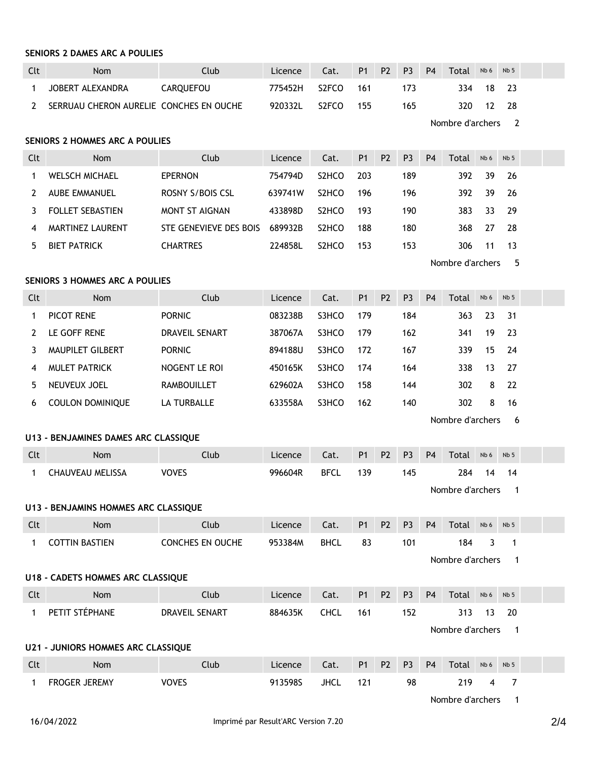## **SENIORS 2 DAMES ARC A POULIES**

| Clt                            | Nom                                       | Club                    | Licence | Cat.               | P <sub>1</sub> | P <sub>2</sub> | P <sub>3</sub> | P <sub>4</sub> | Total            | Nb 6 | Nb <sub>5</sub>          |  |
|--------------------------------|-------------------------------------------|-------------------------|---------|--------------------|----------------|----------------|----------------|----------------|------------------|------|--------------------------|--|
| $\mathbf{1}$                   | JOBERT ALEXANDRA                          | <b>CARQUEFOU</b>        | 775452H | S <sub>2</sub> FCO | 161            |                | 173            |                | 334              | 18   | 23                       |  |
| 2                              | SERRUAU CHERON AURELIE CONCHES EN OUCHE   |                         | 920332L | S2FCO              | 155            |                | 165            |                | 320              | 12   | 28                       |  |
|                                |                                           |                         |         |                    |                |                |                |                | Nombre d'archers |      | $\overline{2}$           |  |
| SENIORS 2 HOMMES ARC A POULIES |                                           |                         |         |                    |                |                |                |                |                  |      |                          |  |
| Clt                            | <b>Nom</b>                                | Club                    | Licence | Cat.               | <b>P1</b>      | P <sub>2</sub> | P <sub>3</sub> | <b>P4</b>      | Total            | Nb 6 | Nb <sub>5</sub>          |  |
| $\mathbf{1}$                   | <b>WELSCH MICHAEL</b>                     | <b>EPERNON</b>          | 754794D | S2HCO              | 203            |                | 189            |                | 392              | 39   | 26                       |  |
| $\mathbf{2}$                   | <b>AUBE EMMANUEL</b>                      | <b>ROSNY S/BOIS CSL</b> | 639741W | S <sub>2</sub> HCO | 196            |                | 196            |                | 392              | 39   | 26                       |  |
| 3                              | <b>FOLLET SEBASTIEN</b>                   | <b>MONT ST AIGNAN</b>   | 433898D | S <sub>2</sub> HCO | 193            |                | 190            |                | 383              | 33   | 29                       |  |
| 4                              | <b>MARTINEZ LAURENT</b>                   | STE GENEVIEVE DES BOIS  | 689932B | S <sub>2</sub> HCO | 188            |                | 180            |                | 368              | 27   | 28                       |  |
| 5                              | <b>BIET PATRICK</b>                       | <b>CHARTRES</b>         | 224858L | S <sub>2</sub> HCO | 153            |                | 153            |                | 306              | 11   | 13                       |  |
|                                | Nombre d'archers<br>5                     |                         |         |                    |                |                |                |                |                  |      |                          |  |
|                                | SENIORS 3 HOMMES ARC A POULIES            |                         |         |                    |                |                |                |                |                  |      |                          |  |
| Clt                            | Nom                                       | Club                    | Licence | Cat.               | P1             | P <sub>2</sub> | P <sub>3</sub> | P <sub>4</sub> | Total            | Nb 6 | Nb <sub>5</sub>          |  |
| $\mathbf{1}$                   | PICOT RENE                                | <b>PORNIC</b>           | 083238B | S3HCO              | 179            |                | 184            |                | 363              | 23   | 31                       |  |
| 2                              | LE GOFF RENE                              | DRAVEIL SENART          | 387067A | S3HCO              | 179            |                | 162            |                | 341              | 19   | 23                       |  |
| 3                              | MAUPILET GILBERT                          | <b>PORNIC</b>           | 894188U | S3HCO              | 172            |                | 167            |                | 339              | 15   | 24                       |  |
| 4                              | <b>MULET PATRICK</b>                      | NOGENT LE ROI           | 450165K | S3HCO              | 174            |                | 164            |                | 338              | 13   | 27                       |  |
| 5                              | NEUVEUX JOEL                              | <b>RAMBOUILLET</b>      | 629602A | S3HCO              | 158            |                | 144            |                | 302              | 8    | 22                       |  |
| 6                              | <b>COULON DOMINIQUE</b>                   | LA TURBALLE             | 633558A | S3HCO              | 162            |                | 140            |                | 302              | 8    | 16                       |  |
|                                |                                           |                         |         |                    |                |                |                |                | Nombre d'archers |      | 6                        |  |
|                                | U13 - BENJAMINES DAMES ARC CLASSIQUE      |                         |         |                    |                |                |                |                |                  |      |                          |  |
| Clt                            | Nom                                       | Club                    | Licence | Cat.               | <b>P1</b>      | P <sub>2</sub> | P <sub>3</sub> | <b>P4</b>      | Total            | Nb 6 | Nb <sub>5</sub>          |  |
| $\mathbf{1}$                   | <b>CHAUVEAU MELISSA</b>                   | <b>VOVES</b>            | 996604R | <b>BFCL</b>        | 139            |                | 145            |                | 284              | 14   | 14                       |  |
|                                |                                           |                         |         |                    |                |                |                |                | Nombre d'archers |      | $\mathbf 1$              |  |
|                                | U13 - BENJAMINS HOMMES ARC CLASSIQUE      |                         |         |                    |                |                |                |                |                  |      |                          |  |
| Clt                            | Nom                                       | Club                    | Licence | Cat.               | P <sub>1</sub> | P <sub>2</sub> | P <sub>3</sub> | P <sub>4</sub> | Total            | Nb 6 | Nb 5                     |  |
| $\mathbf{1}$                   | <b>COTTIN BASTIEN</b>                     | CONCHES EN OUCHE        | 953384M | <b>BHCL</b>        | 83             |                | 101            |                | 184              | 3    | 1                        |  |
|                                |                                           |                         |         |                    |                |                |                |                | Nombre d'archers |      | $\mathbf 1$              |  |
|                                | <b>U18 - CADETS HOMMES ARC CLASSIQUE</b>  |                         |         |                    |                |                |                |                |                  |      |                          |  |
| Clt                            | Nom                                       | Club                    | Licence | Cat.               | P <sub>1</sub> | P <sub>2</sub> | P <sub>3</sub> | P <sub>4</sub> | Total            | Nb 6 | Nb <sub>5</sub>          |  |
| $\mathbf{1}$                   | PETIT STÉPHANE                            | DRAVEIL SENART          | 884635K | <b>CHCL</b>        | 161            |                | 152            |                | 313              | 13   | 20                       |  |
|                                |                                           |                         |         |                    |                |                |                |                | Nombre d'archers |      | $\overline{\phantom{1}}$ |  |
|                                | <b>U21 - JUNIORS HOMMES ARC CLASSIQUE</b> |                         |         |                    |                |                |                |                |                  |      |                          |  |
| Clt                            | Nom                                       | Club                    | Licence | Cat.               | P <sub>1</sub> | P <sub>2</sub> | P <sub>3</sub> | P <sub>4</sub> | Total            | Nb 6 | Nb <sub>5</sub>          |  |
| 1                              | FROGER JEREMY                             | <b>VOVES</b>            | 913598S | <b>JHCL</b>        | 121            |                | 98             |                | 219              | 4    | $\overline{7}$           |  |
|                                |                                           |                         |         |                    |                |                |                |                |                  |      |                          |  |

Nombre d'archers 1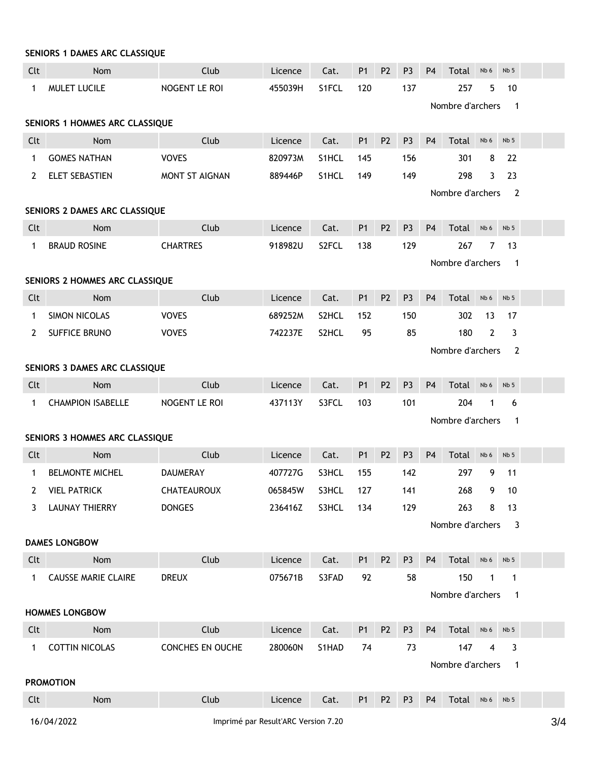| SENIORS 1 DAMES ARC CLASSIQUE      |                                                |                       |         |       |                |                |                |                |                  |                |                            |  |
|------------------------------------|------------------------------------------------|-----------------------|---------|-------|----------------|----------------|----------------|----------------|------------------|----------------|----------------------------|--|
| Clt                                | Nom                                            | Club                  | Licence | Cat.  | P <sub>1</sub> | P <sub>2</sub> | P <sub>3</sub> | P <sub>4</sub> | Total            | Nb 6           | Nb <sub>5</sub>            |  |
| 1                                  | MULET LUCILE                                   | NOGENT LE ROI         | 455039H | S1FCL | 120            |                | 137            |                | 257              | 5              | 10                         |  |
|                                    | Nombre d'archers<br>$\overline{\phantom{0}}$ 1 |                       |         |       |                |                |                |                |                  |                |                            |  |
| SENIORS 1 HOMMES ARC CLASSIQUE     |                                                |                       |         |       |                |                |                |                |                  |                |                            |  |
| Clt                                | Nom                                            | Club                  | Licence | Cat.  | <b>P1</b>      | P <sub>2</sub> | P <sub>3</sub> | P <sub>4</sub> | Total            | Nb 6           | Nb <sub>5</sub>            |  |
| 1                                  | <b>GOMES NATHAN</b>                            | <b>VOVES</b>          | 820973M | S1HCL | 145            |                | 156            |                | 301              | 8              | 22                         |  |
| 2                                  | ELET SEBASTIEN                                 | <b>MONT ST AIGNAN</b> | 889446P | S1HCL | 149            |                | 149            |                | 298              | 3              | 23                         |  |
| Nombre d'archers<br>$\overline{2}$ |                                                |                       |         |       |                |                |                |                |                  |                |                            |  |
| SENIORS 2 DAMES ARC CLASSIQUE      |                                                |                       |         |       |                |                |                |                |                  |                |                            |  |
| Clt                                | Nom                                            | Club                  | Licence | Cat.  | P <sub>1</sub> | P <sub>2</sub> | P <sub>3</sub> | P <sub>4</sub> | Total            | Nb 6           | Nb <sub>5</sub>            |  |
| $\mathbf{1}$                       | <b>BRAUD ROSINE</b>                            | <b>CHARTRES</b>       | 918982U | S2FCL | 138            |                | 129            |                | 267              | 7              | 13                         |  |
|                                    |                                                |                       |         |       |                |                |                |                | Nombre d'archers |                | $\overline{\phantom{0}}$ 1 |  |
|                                    | SENIORS 2 HOMMES ARC CLASSIQUE                 |                       |         |       |                |                |                |                |                  |                |                            |  |
| Clt                                | Nom                                            | Club                  | Licence | Cat.  | P <sub>1</sub> | P <sub>2</sub> | P <sub>3</sub> | P <sub>4</sub> | Total            | Nb 6           | Nb <sub>5</sub>            |  |
| 1                                  | <b>SIMON NICOLAS</b>                           | <b>VOVES</b>          | 689252M | S2HCL | 152            |                | 150            |                | 302              | 13             | 17                         |  |
| 2                                  | SUFFICE BRUNO                                  | <b>VOVES</b>          | 742237E | S2HCL | 95             |                | 85             |                | 180              | $\overline{2}$ | 3                          |  |
| Nombre d'archers<br>$\overline{2}$ |                                                |                       |         |       |                |                |                |                |                  |                |                            |  |
|                                    | SENIORS 3 DAMES ARC CLASSIQUE                  |                       |         |       |                |                |                |                |                  |                |                            |  |
| Clt                                | Nom                                            | Club                  | Licence | Cat.  | <b>P1</b>      | P <sub>2</sub> | P <sub>3</sub> | <b>P4</b>      | Total            | Nb 6           | Nb <sub>5</sub>            |  |
| $\mathbf{1}$                       | <b>CHAMPION ISABELLE</b>                       | NOGENT LE ROI         | 437113Y | S3FCL | 103            |                | 101            |                | 204              | 1              | 6                          |  |
|                                    |                                                |                       |         |       |                |                |                |                | Nombre d'archers |                | 1                          |  |
|                                    | SENIORS 3 HOMMES ARC CLASSIQUE                 |                       |         |       |                |                |                |                |                  |                |                            |  |
| Clt                                | Nom                                            | Club                  | Licence | Cat.  | P <sub>1</sub> | P <sub>2</sub> | P <sub>3</sub> | P <sub>4</sub> | Total            | Nb 6           | Nb <sub>5</sub>            |  |
| $\mathbf{1}$                       | <b>BELMONTE MICHEL</b>                         | <b>DAUMERAY</b>       | 407727G | S3HCL | 155            |                | 142            |                | 297              | 9              | 11                         |  |
|                                    | 2 VIEL PATRICK                                 | <b>CHATEAUROUX</b>    | 065845W | S3HCL | 127            |                | 141            |                | 268              | 9              | -10                        |  |
|                                    | 3 LAUNAY THIERRY                               | <b>DONGES</b>         | 236416Z | S3HCL | 134            |                | 129            |                | 263              | 8              | 13                         |  |
|                                    |                                                |                       |         |       |                |                |                |                | Nombre d'archers |                | 3                          |  |
|                                    | <b>DAMES LONGBOW</b>                           |                       |         |       |                |                |                |                |                  |                |                            |  |
| Clt                                | Nom                                            | Club                  | Licence | Cat.  | <b>P1</b>      | P <sub>2</sub> | P <sub>3</sub> | P <sub>4</sub> | Total Nb6 Nb5    |                |                            |  |
|                                    | 1 CAUSSE MARIE CLAIRE                          | <b>DREUX</b>          | 075671B | S3FAD | 92             |                | 58             |                | 150              | $\overline{1}$ | $\overline{1}$             |  |
|                                    |                                                |                       |         |       |                |                |                |                | Nombre d'archers |                | $\blacksquare$             |  |
| <b>HOMMES LONGBOW</b>              |                                                |                       |         |       |                |                |                |                |                  |                |                            |  |
| Clt                                | Nom                                            | Club                  | Licence | Cat.  | P1             | P <sub>2</sub> | P <sub>3</sub> | P <sub>4</sub> | Total Nb6 Nb5    |                |                            |  |
|                                    | 1 COTTIN NICOLAS                               | CONCHES EN OUCHE      | 280060N | S1HAD | 74             |                | 73             |                | 147              | $\overline{4}$ | 3                          |  |
|                                    |                                                |                       |         |       |                |                |                |                | Nombre d'archers |                | $\mathbf{1}$               |  |
| <b>PROMOTION</b>                   |                                                |                       |         |       |                |                |                |                |                  |                |                            |  |
| Clt                                | Nom                                            | Club                  | Licence | Cat.  | P <sub>1</sub> | P <sub>2</sub> | P <sub>3</sub> | P <sub>4</sub> | Total Nb6        |                | Nb <sub>5</sub>            |  |